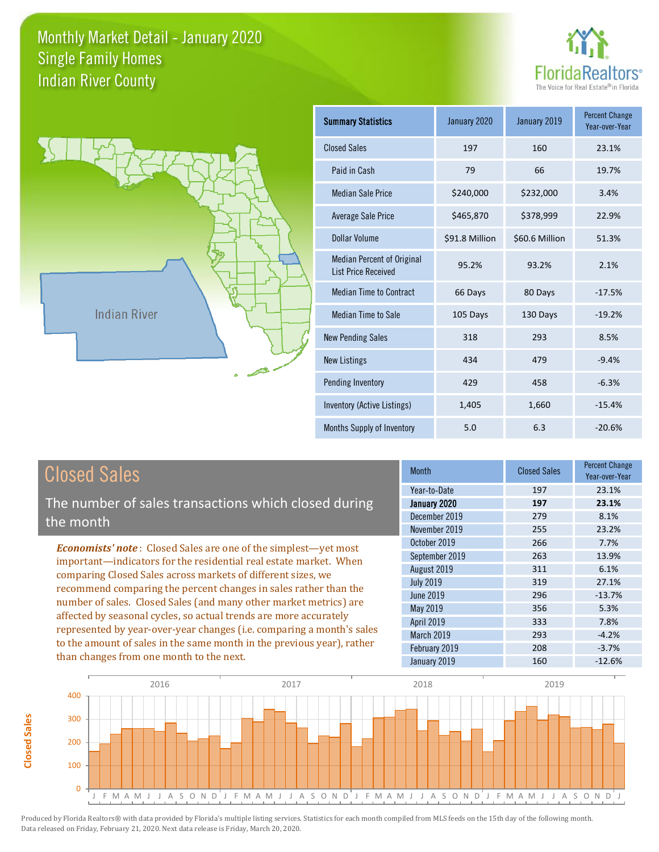



**Closed Sales**

**Closed Sales** 

| <b>Summary Statistics</b>                                       | January 2020   | January 2019   | <b>Percent Change</b><br>Year-over-Year |
|-----------------------------------------------------------------|----------------|----------------|-----------------------------------------|
| <b>Closed Sales</b>                                             | 197            | 160            | 23.1%                                   |
| Paid in Cash                                                    | 79             | 66             | 19.7%                                   |
| <b>Median Sale Price</b>                                        | \$240,000      | \$232,000      | 3.4%                                    |
| <b>Average Sale Price</b>                                       | \$465,870      | \$378,999      | 22.9%                                   |
| Dollar Volume                                                   | \$91.8 Million | \$60.6 Million | 51.3%                                   |
| <b>Median Percent of Original</b><br><b>List Price Received</b> | 95.2%          | 93.2%          | 2.1%                                    |
| <b>Median Time to Contract</b>                                  | 66 Days        | 80 Days        | $-17.5%$                                |
| Median Time to Sale                                             | 105 Days       | 130 Days       | $-19.2%$                                |
| <b>New Pending Sales</b>                                        | 318            | 293            | 8.5%                                    |
| <b>New Listings</b>                                             | 434            | 479            | $-9.4%$                                 |
| Pending Inventory                                               | 429            | 458            | $-6.3%$                                 |
| Inventory (Active Listings)                                     | 1,405          | 1,660          | $-15.4%$                                |
| Months Supply of Inventory                                      | 5.0            | 6.3            | $-20.6%$                                |

| <b>Closed Sales</b>                                                    | <b>Month</b>      | <b>Closed Sales</b> | <b>Percent Change</b><br>Year-over-Year |
|------------------------------------------------------------------------|-------------------|---------------------|-----------------------------------------|
|                                                                        | Year-to-Date      | 197                 | 23.1%                                   |
| The number of sales transactions which closed during                   | January 2020      | 197                 | 23.1%                                   |
| the month                                                              | December 2019     | 279                 | 8.1%                                    |
|                                                                        | November 2019     | 255                 | 23.2%                                   |
| <b>Economists' note:</b> Closed Sales are one of the simplest-yet most | October 2019      | 266                 | 7.7%                                    |
| important—indicators for the residential real estate market. When      | September 2019    | 263                 | 13.9%                                   |
| comparing Closed Sales across markets of different sizes, we           | August 2019       | 311                 | 6.1%                                    |
| recommend comparing the percent changes in sales rather than the       | <b>July 2019</b>  | 319                 | 27.1%                                   |
| number of sales. Closed Sales (and many other market metrics) are      | June 2019         | 296                 | $-13.7%$                                |
|                                                                        | May 2019          | 356                 | 5.3%                                    |
| affected by seasonal cycles, so actual trends are more accurately      | April 2019        | 333                 | 7.8%                                    |
| represented by year-over-year changes (i.e. comparing a month's sales  | <b>March 2019</b> | 293                 | $-4.2%$                                 |
| to the amount of sales in the same month in the previous year), rather | February 2019     | 208                 | $-3.7%$                                 |
| than changes from one month to the next.                               | January 2019      | 160                 | $-12.6%$                                |

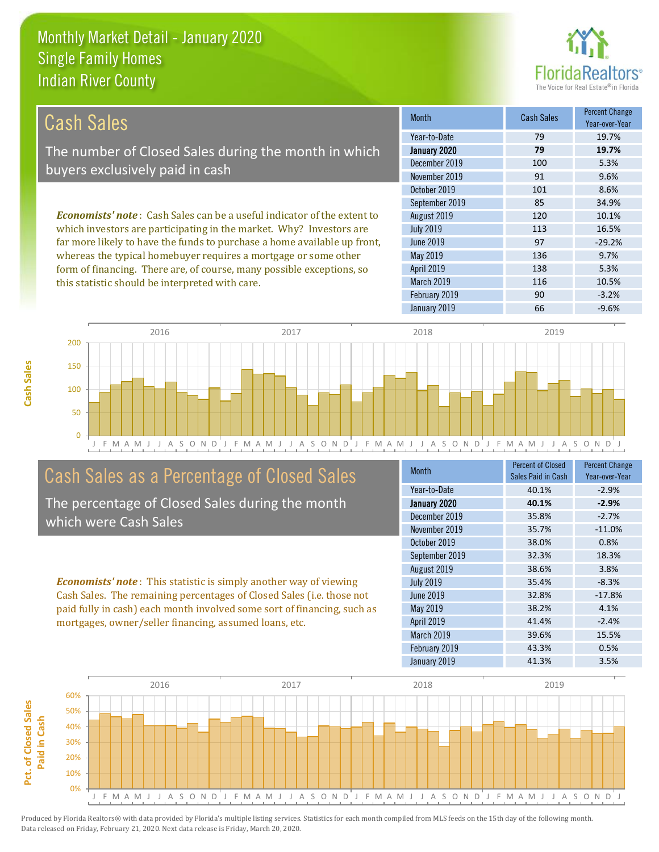this statistic should be interpreted with care.



116 10.5%

| Cash Sales                                                                      | <b>Month</b>      | Cash Sales | <b>Percent Change</b><br>Year-over-Year |
|---------------------------------------------------------------------------------|-------------------|------------|-----------------------------------------|
|                                                                                 | Year-to-Date      | 79         | 19.7%                                   |
| The number of Closed Sales during the month in which                            | January 2020      | 79         | 19.7%                                   |
| buyers exclusively paid in cash                                                 | December 2019     | 100        | 5.3%                                    |
|                                                                                 | November 2019     | 91         | 9.6%                                    |
|                                                                                 | October 2019      | 101        | 8.6%                                    |
|                                                                                 | September 2019    | 85         | 34.9%                                   |
| <b>Economists' note</b> : Cash Sales can be a useful indicator of the extent to | August 2019       | 120        | 10.1%                                   |
| which investors are participating in the market. Why? Investors are             | <b>July 2019</b>  | 113        | 16.5%                                   |
| far more likely to have the funds to purchase a home available up front,        | June 2019         | 97         | $-29.2%$                                |
| whereas the typical homebuyer requires a mortgage or some other                 | May 2019          | 136        | 9.7%                                    |
| form of financing. There are, of course, many possible exceptions, so           | <b>April 2019</b> | 138        | 5.3%                                    |



# Cash Sales as a Percentage of Closed Sales

The percentage of Closed Sales during the month which were Cash Sales

*Economists' note* : This statistic is simply another way of viewing Cash Sales. The remaining percentages of Closed Sales (i.e. those not paid fully in cash) each month involved some sort of financing, such as mortgages, owner/seller financing, assumed loans, etc.

| <b>Month</b>     | <b>Percent of Closed</b><br>Sales Paid in Cash | <b>Percent Change</b><br>Year-over-Year |
|------------------|------------------------------------------------|-----------------------------------------|
| Year-to-Date     | 40.1%                                          | $-2.9%$                                 |
| January 2020     | 40.1%                                          | $-2.9%$                                 |
| December 2019    | 35.8%                                          | $-2.7%$                                 |
| November 2019    | 35.7%                                          | $-11.0%$                                |
| October 2019     | 38.0%                                          | 0.8%                                    |
| September 2019   | 32.3%                                          | 18.3%                                   |
| August 2019      | 38.6%                                          | 3.8%                                    |
| <b>July 2019</b> | 35.4%                                          | $-8.3%$                                 |
| June 2019        | 32.8%                                          | $-17.8%$                                |
| May 2019         | 38.2%                                          | 4.1%                                    |
| April 2019       | 41.4%                                          | $-2.4%$                                 |
| March 2019       | 39.6%                                          | 15.5%                                   |
| February 2019    | 43.3%                                          | 0.5%                                    |
| January 2019     | 41.3%                                          | 3.5%                                    |

February 2019 **90** -3.2%

March 2019

January 2019 **66** -9.6%

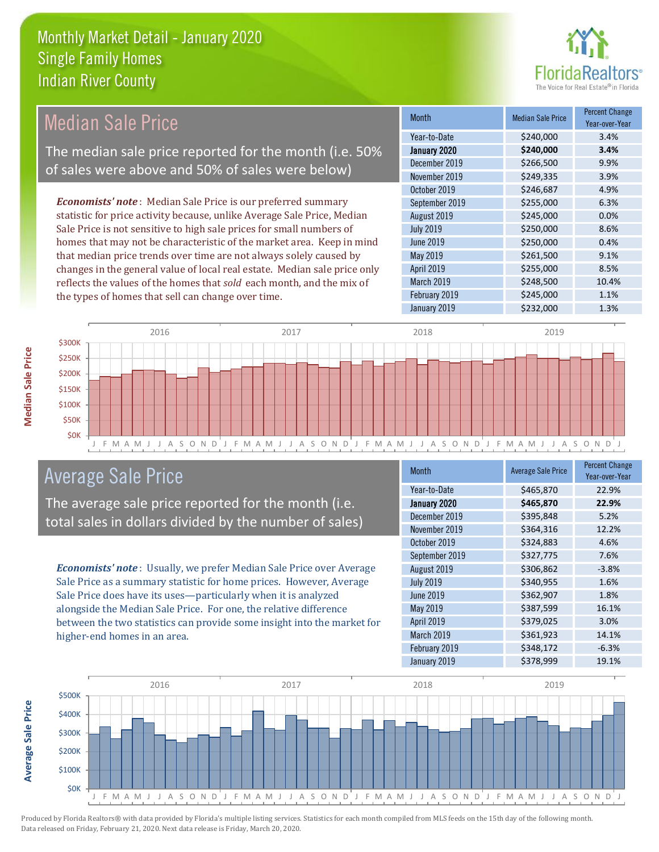

#### *Economists' note* : Median Sale Price is our preferred summary statistic for price activity because, unlike Average Sale Price, Median Sale Price is not sensitive to high sale prices for small numbers of homes that may not be characteristic of the market area. Keep in mind that median price trends over time are not always solely caused by changes in the general value of local real estate. Median sale price only reflects the values of the homes that *sold* each month, and the mix of the types of homes that sell can change over time. January 2019 **\$232,000** \$234,000 March 2019 **\$248,500** \$248,500 February 2019 **\$245,000** 5245,000 1.1% May 2019 **\$261,500** \$261,500 9.1% April 2019 **\$255,000** \$255,000 8.5% \$246,687 4.9% September 2019 \$255,000 6.3% June 2019 **\$250,000 0.4%** December 2019 **\$266,500** 9.9% November 2019 **\$249,335** 3.9% August 2019 **\$245,000 0.0%** July 2019 **\$250,000** \$250,000 8.6% October 2019 Month Median Sale Price Percent Change Year-over-Year January 2020 **\$240,000 3.4%** Year-to-Date \$240,000 3.4% Median Sale Price The median sale price reported for the month (i.e. 50% of sales were above and 50% of sales were below)



# Average Sale Price

The average sale price reported for the month (i.e. total sales in dollars divided by the number of sales)

*Economists' note* : Usually, we prefer Median Sale Price over Average Sale Price as a summary statistic for home prices. However, Average Sale Price does have its uses—particularly when it is analyzed alongside the Median Sale Price. For one, the relative difference between the two statistics can provide some insight into the market for higher-end homes in an area.

| <b>Month</b>     | <b>Average Sale Price</b> | <b>Percent Change</b><br>Year-over-Year |
|------------------|---------------------------|-----------------------------------------|
| Year-to-Date     | \$465,870                 | 22.9%                                   |
| January 2020     | \$465,870                 | 22.9%                                   |
| December 2019    | \$395,848                 | 5.2%                                    |
| November 2019    | \$364,316                 | 12.2%                                   |
| October 2019     | \$324,883                 | 4.6%                                    |
| September 2019   | \$327,775                 | 7.6%                                    |
| August 2019      | \$306,862                 | $-3.8%$                                 |
| <b>July 2019</b> | \$340,955                 | 1.6%                                    |
| <b>June 2019</b> | \$362,907                 | 1.8%                                    |
| May 2019         | \$387,599                 | 16.1%                                   |
| April 2019       | \$379,025                 | 3.0%                                    |
| March 2019       | \$361,923                 | 14.1%                                   |
| February 2019    | \$348,172                 | $-6.3%$                                 |
| January 2019     | \$378,999                 | 19.1%                                   |



**Median Sale Price**

**Median Sale Price**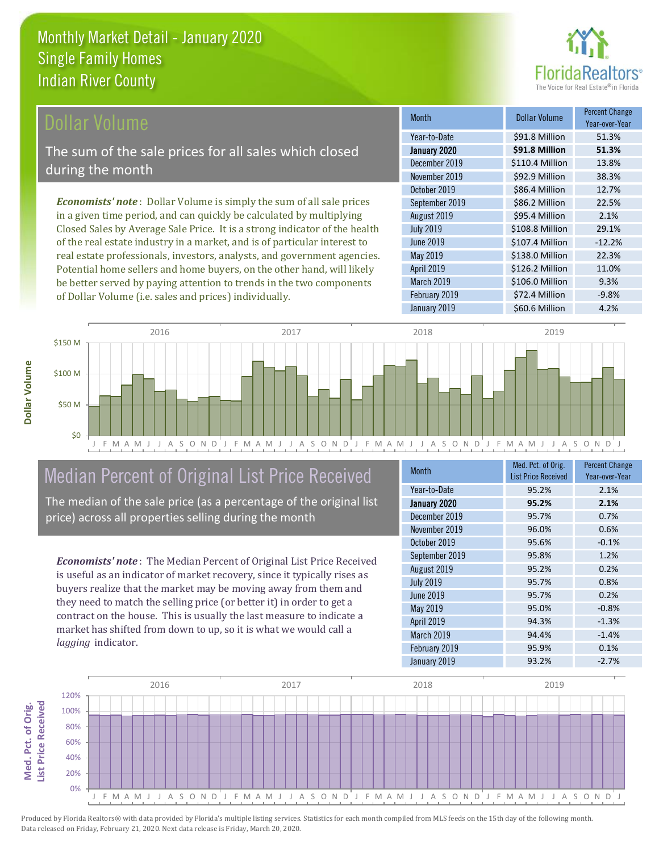

#### **Ollar Volume**

The sum of the sale prices for all sales which closed during the month

*Economists' note* : Dollar Volume is simply the sum of all sale prices in a given time period, and can quickly be calculated by multiplying Closed Sales by Average Sale Price. It is a strong indicator of the health of the real estate industry in a market, and is of particular interest to real estate professionals, investors, analysts, and government agencies. Potential home sellers and home buyers, on the other hand, will likely be better served by paying attention to trends in the two components of Dollar Volume (i.e. sales and prices) individually.

| <b>Month</b>     | <b>Dollar Volume</b> | <b>Percent Change</b><br>Year-over-Year |
|------------------|----------------------|-----------------------------------------|
| Year-to-Date     | \$91.8 Million       | 51.3%                                   |
| January 2020     | \$91.8 Million       | 51.3%                                   |
| December 2019    | \$110.4 Million      | 13.8%                                   |
| November 2019    | \$92.9 Million       | 38.3%                                   |
| October 2019     | \$86.4 Million       | 12.7%                                   |
| September 2019   | \$86.2 Million       | 22.5%                                   |
| August 2019      | \$95.4 Million       | 2.1%                                    |
| <b>July 2019</b> | \$108.8 Million      | 29.1%                                   |
| <b>June 2019</b> | \$107.4 Million      | $-12.2%$                                |
| May 2019         | \$138.0 Million      | 22.3%                                   |
| April 2019       | \$126.2 Million      | 11.0%                                   |
| March 2019       | \$106.0 Million      | 9.3%                                    |
| February 2019    | \$72.4 Million       | $-9.8%$                                 |
| January 2019     | \$60.6 Million       | 4.2%                                    |



# Median Percent of Original List Price Received

The median of the sale price (as a percentage of the original list price) across all properties selling during the month

*Economists' note* : The Median Percent of Original List Price Received is useful as an indicator of market recovery, since it typically rises as buyers realize that the market may be moving away from them and they need to match the selling price (or better it) in order to get a contract on the house. This is usually the last measure to indicate a market has shifted from down to up, so it is what we would call a *lagging* indicator.

| <b>Month</b>     | Med. Pct. of Orig.<br><b>List Price Received</b> | <b>Percent Change</b><br>Year-over-Year |
|------------------|--------------------------------------------------|-----------------------------------------|
| Year-to-Date     | 95.2%                                            | 2.1%                                    |
| January 2020     | 95.2%                                            | 2.1%                                    |
| December 2019    | 95.7%                                            | 0.7%                                    |
| November 2019    | 96.0%                                            | 0.6%                                    |
| October 2019     | 95.6%                                            | $-0.1%$                                 |
| September 2019   | 95.8%                                            | 1.2%                                    |
| August 2019      | 95.2%                                            | 0.2%                                    |
| <b>July 2019</b> | 95.7%                                            | 0.8%                                    |
| <b>June 2019</b> | 95.7%                                            | 0.2%                                    |
| May 2019         | 95.0%                                            | $-0.8%$                                 |
| April 2019       | 94.3%                                            | $-1.3%$                                 |
| March 2019       | 94.4%                                            | $-1.4%$                                 |
| February 2019    | 95.9%                                            | 0.1%                                    |
| January 2019     | 93.2%                                            | $-2.7%$                                 |

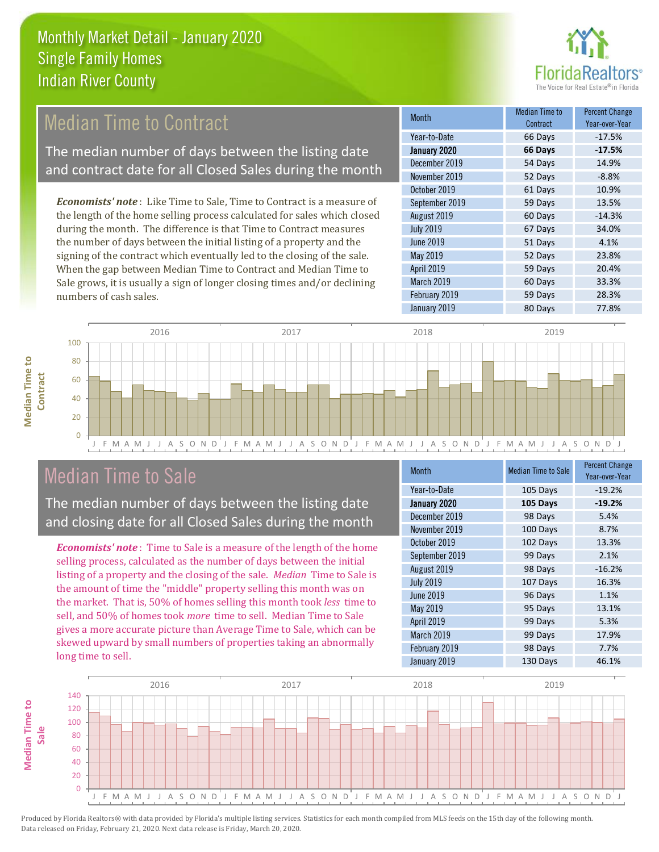

# **Median Time to Contract**

The median number of days between the listing date and contract date for all Closed Sales during the month

*Economists' note* : Like Time to Sale, Time to Contract is a measure of the length of the home selling process calculated for sales which closed during the month. The difference is that Time to Contract measures the number of days between the initial listing of a property and the signing of the contract which eventually led to the closing of the sale. When the gap between Median Time to Contract and Median Time to Sale grows, it is usually a sign of longer closing times and/or declining numbers of cash sales.

| <b>Month</b>      | Median Time to<br>Contract | <b>Percent Change</b><br>Year-over-Year |
|-------------------|----------------------------|-----------------------------------------|
| Year-to-Date      | 66 Days                    | $-17.5%$                                |
| January 2020      | 66 Days                    | $-17.5%$                                |
| December 2019     | 54 Days                    | 14.9%                                   |
| November 2019     | 52 Days                    | $-8.8%$                                 |
| October 2019      | 61 Days                    | 10.9%                                   |
| September 2019    | 59 Days                    | 13.5%                                   |
| August 2019       | 60 Days                    | $-14.3%$                                |
| <b>July 2019</b>  | 67 Days                    | 34.0%                                   |
| <b>June 2019</b>  | 51 Days                    | 4.1%                                    |
| May 2019          | 52 Days                    | 23.8%                                   |
| <b>April 2019</b> | 59 Days                    | 20.4%                                   |
| March 2019        | 60 Days                    | 33.3%                                   |
| February 2019     | 59 Days                    | 28.3%                                   |
| January 2019      | 80 Days                    | 77.8%                                   |



# Median Time to Sale

**Median Time to** 

**Median Time to** 

The median number of days between the listing date and closing date for all Closed Sales during the month

*Economists' note* : Time to Sale is a measure of the length of the home selling process, calculated as the number of days between the initial listing of a property and the closing of the sale. *Median* Time to Sale is the amount of time the "middle" property selling this month was on the market. That is, 50% of homes selling this month took *less* time to sell, and 50% of homes took *more* time to sell. Median Time to Sale gives a more accurate picture than Average Time to Sale, which can be skewed upward by small numbers of properties taking an abnormally long time to sell.

| <b>Month</b>     | <b>Median Time to Sale</b> | <b>Percent Change</b><br>Year-over-Year |
|------------------|----------------------------|-----------------------------------------|
| Year-to-Date     | 105 Days                   | $-19.2%$                                |
| January 2020     | 105 Days                   | $-19.2%$                                |
| December 2019    | 98 Days                    | 5.4%                                    |
| November 2019    | 100 Days                   | 8.7%                                    |
| October 2019     | 102 Days                   | 13.3%                                   |
| September 2019   | 99 Days                    | 2.1%                                    |
| August 2019      | 98 Days                    | $-16.2%$                                |
| <b>July 2019</b> | 107 Days                   | 16.3%                                   |
| <b>June 2019</b> | 96 Days                    | 1.1%                                    |
| May 2019         | 95 Days                    | 13.1%                                   |
| April 2019       | 99 Days                    | 5.3%                                    |
| March 2019       | 99 Days                    | 17.9%                                   |
| February 2019    | 98 Days                    | 7.7%                                    |
| January 2019     | 130 Days                   | 46.1%                                   |

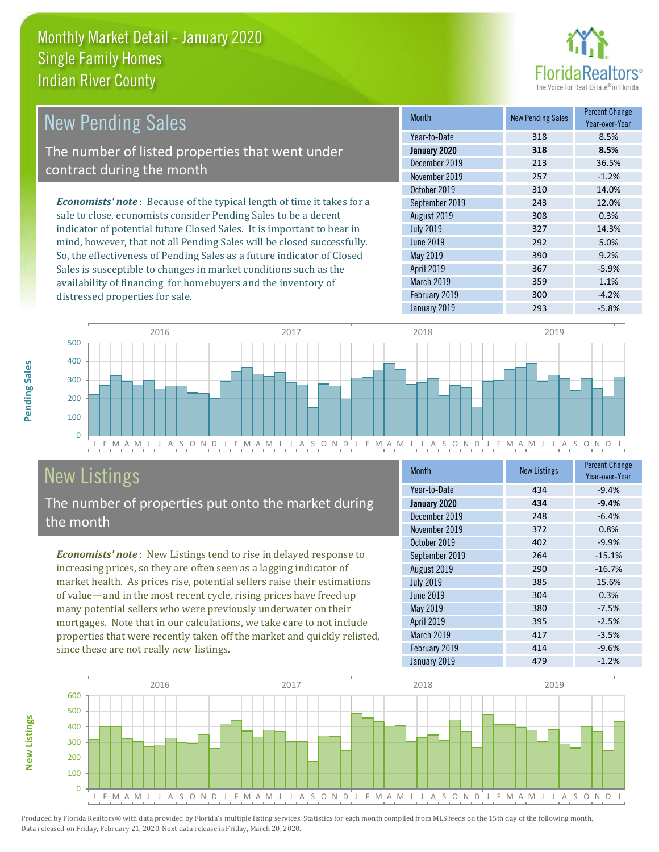

| <b>New Pending Sales</b>                                                      | <b>Month</b>      | <b>New Pending Sales</b> | <b>Percent Change</b><br>Year-over-Year |
|-------------------------------------------------------------------------------|-------------------|--------------------------|-----------------------------------------|
|                                                                               | Year-to-Date      | 318                      | 8.5%                                    |
| The number of listed properties that went under                               | January 2020      | 318                      | 8.5%                                    |
| contract during the month                                                     | December 2019     | 213                      | 36.5%                                   |
|                                                                               | November 2019     | 257                      | $-1.2%$                                 |
|                                                                               | October 2019      | 310                      | 14.0%                                   |
| <b>Economists' note:</b> Because of the typical length of time it takes for a | September 2019    | 243                      | 12.0%                                   |
| sale to close, economists consider Pending Sales to be a decent               | August 2019       | 308                      | 0.3%                                    |
| indicator of potential future Closed Sales. It is important to bear in        | <b>July 2019</b>  | 327                      | 14.3%                                   |
| mind, however, that not all Pending Sales will be closed successfully.        | June 2019         | 292                      | 5.0%                                    |
| So, the effectiveness of Pending Sales as a future indicator of Closed        | May 2019          | 390                      | 9.2%                                    |
| Sales is susceptible to changes in market conditions such as the              | <b>April 2019</b> | 367                      | $-5.9%$                                 |



# New Listings

distressed properties for sale.

The number of properties put onto the market during the month

availability of financing for homebuyers and the inventory of

*Economists' note* : New Listings tend to rise in delayed response to increasing prices, so they are often seen as a lagging indicator of market health. As prices rise, potential sellers raise their estimations of value—and in the most recent cycle, rising prices have freed up many potential sellers who were previously underwater on their mortgages. Note that in our calculations, we take care to not include properties that were recently taken off the market and quickly relisted, since these are not really *new* listings.

| <b>Month</b>     | <b>New Listings</b> | <b>Percent Change</b><br>Year-over-Year |
|------------------|---------------------|-----------------------------------------|
| Year-to-Date     | 434                 | $-9.4%$                                 |
| January 2020     | 434                 | $-9.4%$                                 |
| December 2019    | 248                 | $-6.4%$                                 |
| November 2019    | 372                 | 0.8%                                    |
| October 2019     | 402                 | $-9.9%$                                 |
| September 2019   | 264                 | $-15.1%$                                |
| August 2019      | 290                 | $-16.7%$                                |
| <b>July 2019</b> | 385                 | 15.6%                                   |
| <b>June 2019</b> | 304                 | 0.3%                                    |
| May 2019         | 380                 | $-7.5%$                                 |
| April 2019       | 395                 | $-2.5%$                                 |
| March 2019       | 417                 | $-3.5%$                                 |
| February 2019    | 414                 | $-9.6%$                                 |
| January 2019     | 479                 | $-1.2%$                                 |

January 2019 **293** -5.8%

March 2019 **359** 1.1% February 2019 **300** -4.2%



**Pending Sales**

Pending Sales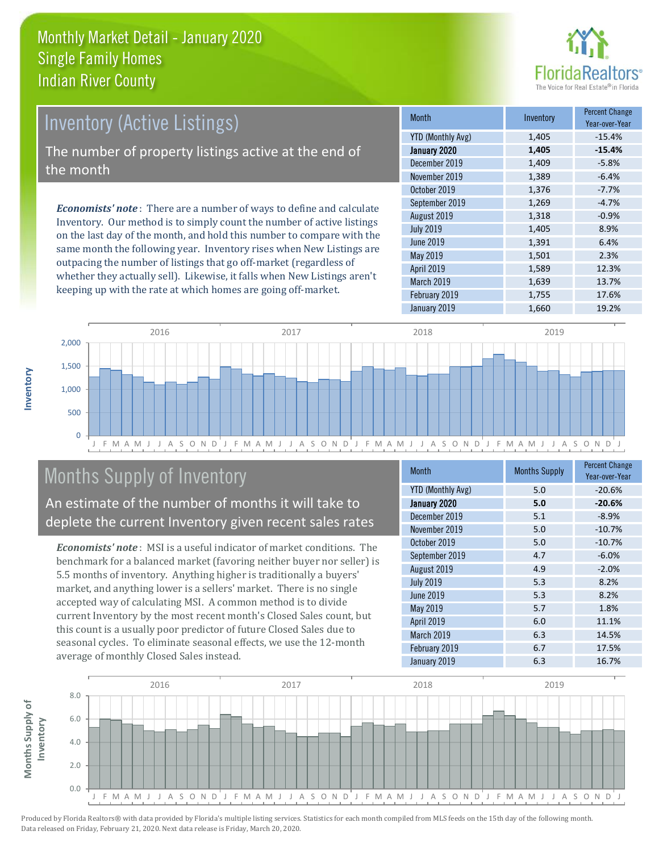

# Inventory (Active Listings)

The number of property listings active at the end of the month

*Economists' note* : There are a number of ways to define and calculate Inventory. Our method is to simply count the number of active listings on the last day of the month, and hold this number to compare with the same month the following year. Inventory rises when New Listings are outpacing the number of listings that go off-market (regardless of whether they actually sell). Likewise, it falls when New Listings aren't keeping up with the rate at which homes are going off-market.

| <b>Month</b>             | Inventory | <b>Percent Change</b><br>Year-over-Year |
|--------------------------|-----------|-----------------------------------------|
| <b>YTD (Monthly Avg)</b> | 1,405     | $-15.4%$                                |
| January 2020             | 1,405     | $-15.4%$                                |
| December 2019            | 1,409     | $-5.8%$                                 |
| November 2019            | 1,389     | $-6.4%$                                 |
| October 2019             | 1,376     | $-7.7%$                                 |
| September 2019           | 1,269     | $-4.7%$                                 |
| August 2019              | 1,318     | $-0.9%$                                 |
| <b>July 2019</b>         | 1,405     | 8.9%                                    |
| <b>June 2019</b>         | 1,391     | 6.4%                                    |
| May 2019                 | 1,501     | 2.3%                                    |
| April 2019               | 1,589     | 12.3%                                   |
| March 2019               | 1,639     | 13.7%                                   |
| February 2019            | 1,755     | 17.6%                                   |
| January 2019             | 1,660     | 19.2%                                   |



# Months Supply of Inventory

An estimate of the number of months it will take to deplete the current Inventory given recent sales rates

*Economists' note* : MSI is a useful indicator of market conditions. The benchmark for a balanced market (favoring neither buyer nor seller) is 5.5 months of inventory. Anything higher is traditionally a buyers' market, and anything lower is a sellers' market. There is no single accepted way of calculating MSI. A common method is to divide current Inventory by the most recent month's Closed Sales count, but this count is a usually poor predictor of future Closed Sales due to seasonal cycles. To eliminate seasonal effects, we use the 12-month average of monthly Closed Sales instead.

| <b>Month</b>             | <b>Months Supply</b> | <b>Percent Change</b><br>Year-over-Year |
|--------------------------|----------------------|-----------------------------------------|
| <b>YTD (Monthly Avg)</b> | 5.0                  | $-20.6%$                                |
| January 2020             | 5.0                  | $-20.6%$                                |
| December 2019            | 5.1                  | $-8.9%$                                 |
| November 2019            | 5.0                  | $-10.7%$                                |
| October 2019             | 5.0                  | $-10.7%$                                |
| September 2019           | 4.7                  | $-6.0%$                                 |
| August 2019              | 4.9                  | $-2.0%$                                 |
| <b>July 2019</b>         | 5.3                  | 8.2%                                    |
| June 2019                | 5.3                  | 8.2%                                    |
| May 2019                 | 5.7                  | 1.8%                                    |
| <b>April 2019</b>        | 6.0                  | 11.1%                                   |
| March 2019               | 6.3                  | 14.5%                                   |
| February 2019            | 6.7                  | 17.5%                                   |
| January 2019             | 6.3                  | 16.7%                                   |

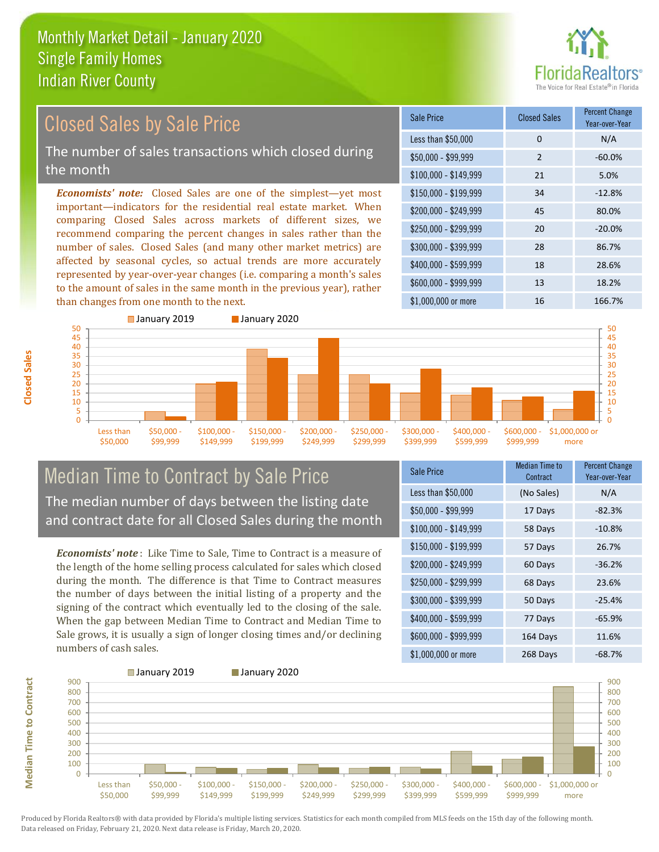

#### \$100,000 - \$149,999 21 5.0% Sale Price Closed Sales Percent Change Year-over-Year Less than \$50,000 0 0 N/A  $$50.000 - $99.999$  2 -60.0% \$150,000 - \$199,999 34 -12.8% \$200,000 - \$249,999 45 80.0% \$400,000 - \$599,999 18 28.6% \$600,000 - \$999,999 13 18.2% *Economists' note:* Closed Sales are one of the simplest—yet most important—indicators for the residential real estate market. When comparing Closed Sales across markets of different sizes, we recommend comparing the percent changes in sales rather than the number of sales. Closed Sales (and many other market metrics) are affected by seasonal cycles, so actual trends are more accurately represented by year-over-year changes (i.e. comparing a month's sales to the amount of sales in the same month in the previous year), rather than changes from one month to the next. \$1,000,000 or more 16 16 166.7% \$250,000 - \$299,999 20 -20.0% \$300,000 - \$399,999 28 86.7% Closed Sales by Sale Price The number of sales transactions which closed during the month



### Median Time to Contract by Sale Price The median number of days between the listing date and contract date for all Closed Sales during the month

*Economists' note* : Like Time to Sale, Time to Contract is a measure of the length of the home selling process calculated for sales which closed during the month. The difference is that Time to Contract measures the number of days between the initial listing of a property and the signing of the contract which eventually led to the closing of the sale. When the gap between Median Time to Contract and Median Time to Sale grows, it is usually a sign of longer closing times and/or declining numbers of cash sales.

| <b>Sale Price</b>     | <b>Median Time to</b><br>Contract | <b>Percent Change</b><br>Year-over-Year |
|-----------------------|-----------------------------------|-----------------------------------------|
| Less than \$50,000    | (No Sales)                        | N/A                                     |
| $$50,000 - $99,999$   | 17 Days                           | $-82.3%$                                |
| $$100,000 - $149,999$ | 58 Days                           | $-10.8%$                                |
| $$150,000 - $199,999$ | 57 Days                           | 26.7%                                   |
| \$200,000 - \$249,999 | 60 Days                           | $-36.2%$                                |
| \$250,000 - \$299,999 | 68 Days                           | 23.6%                                   |
| \$300,000 - \$399,999 | 50 Days                           | $-25.4%$                                |
| \$400,000 - \$599,999 | 77 Days                           | $-65.9%$                                |
| \$600,000 - \$999,999 | 164 Days                          | 11.6%                                   |
| \$1,000,000 or more   | 268 Days                          | $-68.7%$                                |



**Median Time to Contract**

**Median Time to Contract** 

**Closed Sales**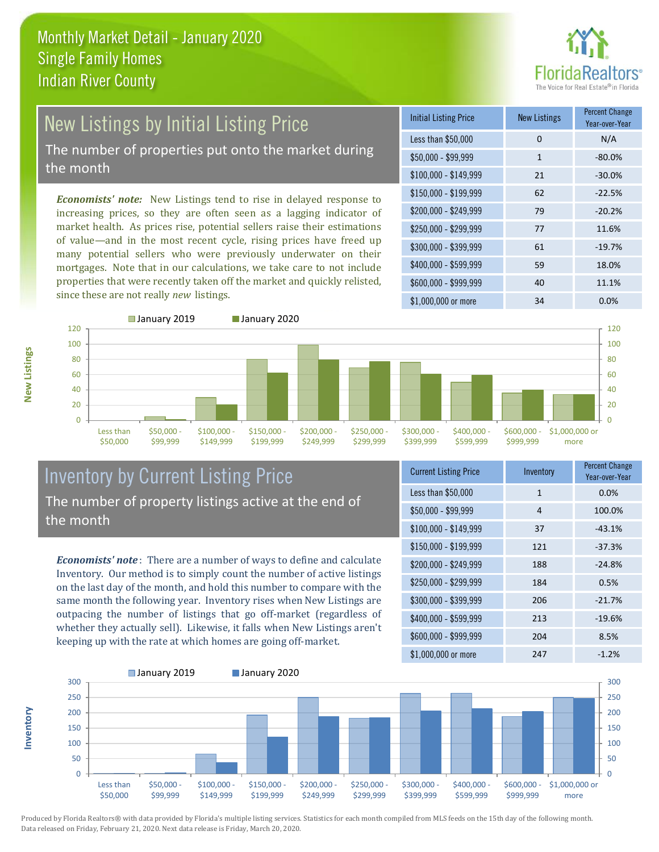

# New Listings by Initial Listing Price The number of properties put onto the market during

the month

*Economists' note:* New Listings tend to rise in delayed response to increasing prices, so they are often seen as a lagging indicator of market health. As prices rise, potential sellers raise their estimations of value—and in the most recent cycle, rising prices have freed up many potential sellers who were previously underwater on their mortgages. Note that in our calculations, we take care to not include properties that were recently taken off the market and quickly relisted, since these are not really *new* listings.

| <b>Initial Listing Price</b> | New Listings | <b>Percent Change</b><br>Year-over-Year |
|------------------------------|--------------|-----------------------------------------|
| Less than \$50,000           | 0            | N/A                                     |
| $$50,000 - $99,999$          | 1            | $-80.0%$                                |
| $$100,000 - $149,999$        | 21           | $-30.0%$                                |
| $$150,000 - $199,999$        | 62           | $-22.5%$                                |
| \$200,000 - \$249,999        | 79           | $-20.2%$                                |
| \$250,000 - \$299,999        | 77           | 11.6%                                   |
| \$300,000 - \$399,999        | 61           | $-19.7%$                                |
| \$400,000 - \$599,999        | 59           | 18.0%                                   |
| \$600,000 - \$999,999        | 40           | 11.1%                                   |
| $$1,000,000$ or more         | 34           | $0.0\%$                                 |



**Inventory**



### Inventory by Current Listing Price The number of property listings active at the end of the month

*Economists' note* : There are a number of ways to define and calculate Inventory. Our method is to simply count the number of active listings on the last day of the month, and hold this number to compare with the same month the following year. Inventory rises when New Listings are outpacing the number of listings that go off-market (regardless of whether they actually sell). Likewise, it falls when New Listings aren't keeping up with the rate at which homes are going off-market.

| <b>Current Listing Price</b> | Inventory | <b>Percent Change</b><br>Year-over-Year |
|------------------------------|-----------|-----------------------------------------|
| Less than \$50,000           | 1         | 0.0%                                    |
| $$50,000 - $99,999$          | 4         | 100.0%                                  |
| $$100,000 - $149,999$        | 37        | $-43.1%$                                |
| $$150,000 - $199,999$        | 121       | $-37.3%$                                |
| \$200,000 - \$249,999        | 188       | $-24.8%$                                |
| \$250,000 - \$299,999        | 184       | 0.5%                                    |
| \$300,000 - \$399,999        | 206       | $-21.7%$                                |
| \$400,000 - \$599,999        | 213       | $-19.6%$                                |
| \$600,000 - \$999,999        | 204       | 8.5%                                    |
| \$1,000,000 or more          | 247       | $-1.2%$                                 |